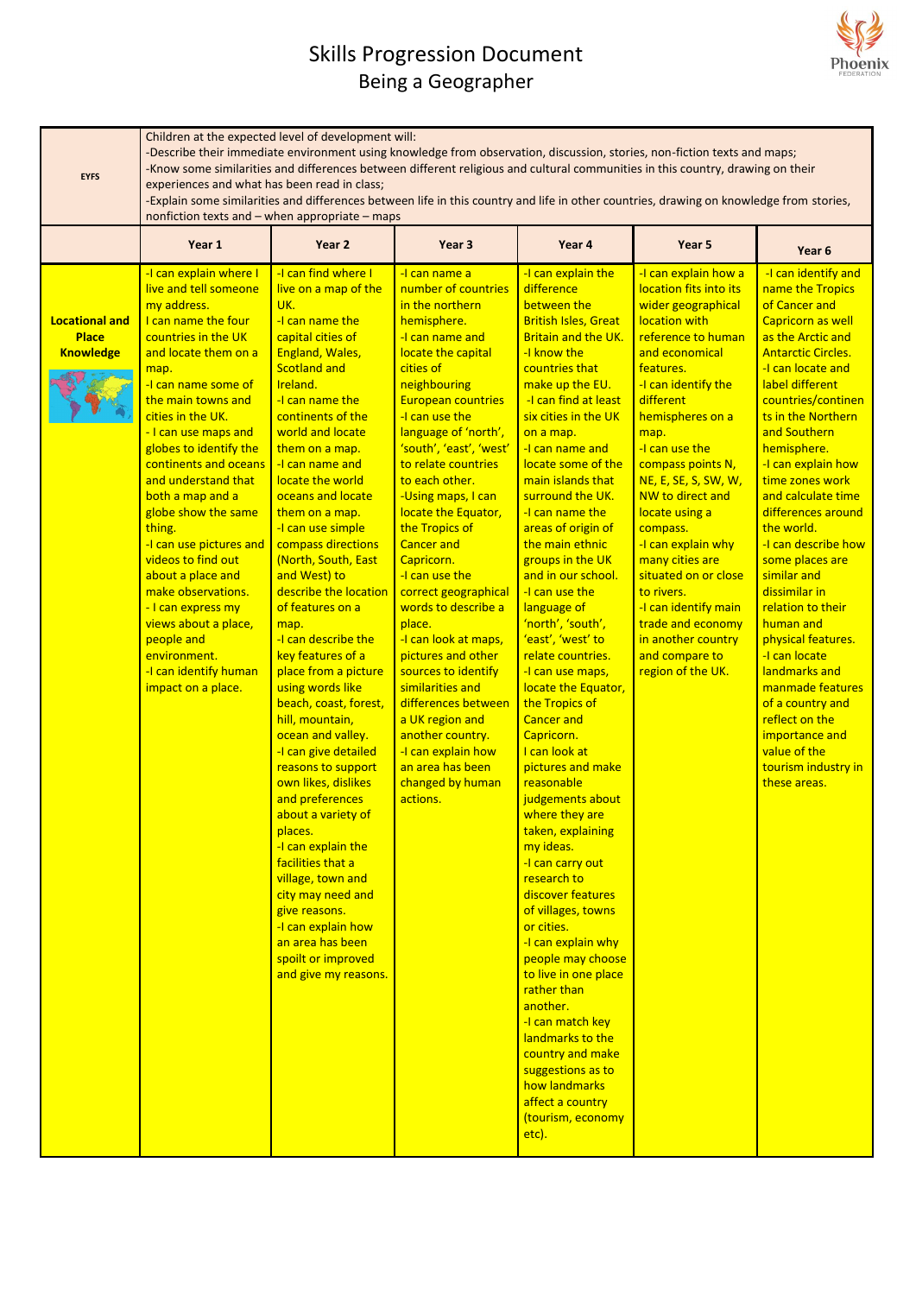### Skills Progression Document Being a Geographer



| <b>EYFS</b>                                               | Children at the expected level of development will:<br>-Describe their immediate environment using knowledge from observation, discussion, stories, non-fiction texts and maps;<br>-Know some similarities and differences between different religious and cultural communities in this country, drawing on their<br>experiences and what has been read in class;<br>-Explain some similarities and differences between life in this country and life in other countries, drawing on knowledge from stories,<br>nonfiction texts and - when appropriate - maps                               |                                                                                                                                                                                                                                                                                                                                                                                                                                                                                                                                                                                                                                                                                                                                                                                                                                                                                                                                     |                                                                                                                                                                                                                                                                                                                                                                                                                                                                                                                                                                                                                                                                                                       |                                                                                                                                                                                                                                                                                                                                                                                                                                                                                                                                                                                                                                                                                                                                                                                                                                                                                                                                                                                                                                                                                                 |                                                                                                                                                                                                                                                                                                                                                                                                                                                                                                                      |                                                                                                                                                                                                                                                                                                                                                                                                                                                                                                                                                                                                                                                              |  |
|-----------------------------------------------------------|----------------------------------------------------------------------------------------------------------------------------------------------------------------------------------------------------------------------------------------------------------------------------------------------------------------------------------------------------------------------------------------------------------------------------------------------------------------------------------------------------------------------------------------------------------------------------------------------|-------------------------------------------------------------------------------------------------------------------------------------------------------------------------------------------------------------------------------------------------------------------------------------------------------------------------------------------------------------------------------------------------------------------------------------------------------------------------------------------------------------------------------------------------------------------------------------------------------------------------------------------------------------------------------------------------------------------------------------------------------------------------------------------------------------------------------------------------------------------------------------------------------------------------------------|-------------------------------------------------------------------------------------------------------------------------------------------------------------------------------------------------------------------------------------------------------------------------------------------------------------------------------------------------------------------------------------------------------------------------------------------------------------------------------------------------------------------------------------------------------------------------------------------------------------------------------------------------------------------------------------------------------|-------------------------------------------------------------------------------------------------------------------------------------------------------------------------------------------------------------------------------------------------------------------------------------------------------------------------------------------------------------------------------------------------------------------------------------------------------------------------------------------------------------------------------------------------------------------------------------------------------------------------------------------------------------------------------------------------------------------------------------------------------------------------------------------------------------------------------------------------------------------------------------------------------------------------------------------------------------------------------------------------------------------------------------------------------------------------------------------------|----------------------------------------------------------------------------------------------------------------------------------------------------------------------------------------------------------------------------------------------------------------------------------------------------------------------------------------------------------------------------------------------------------------------------------------------------------------------------------------------------------------------|--------------------------------------------------------------------------------------------------------------------------------------------------------------------------------------------------------------------------------------------------------------------------------------------------------------------------------------------------------------------------------------------------------------------------------------------------------------------------------------------------------------------------------------------------------------------------------------------------------------------------------------------------------------|--|
|                                                           | Year 1                                                                                                                                                                                                                                                                                                                                                                                                                                                                                                                                                                                       | Year <sub>2</sub>                                                                                                                                                                                                                                                                                                                                                                                                                                                                                                                                                                                                                                                                                                                                                                                                                                                                                                                   | Year 3                                                                                                                                                                                                                                                                                                                                                                                                                                                                                                                                                                                                                                                                                                | Year 4                                                                                                                                                                                                                                                                                                                                                                                                                                                                                                                                                                                                                                                                                                                                                                                                                                                                                                                                                                                                                                                                                          | Year 5                                                                                                                                                                                                                                                                                                                                                                                                                                                                                                               | Year 6                                                                                                                                                                                                                                                                                                                                                                                                                                                                                                                                                                                                                                                       |  |
| <b>Locational and</b><br><b>Place</b><br><b>Knowledge</b> | -I can explain where I<br>live and tell someone<br>my address.<br>I can name the four<br>countries in the UK<br>and locate them on a<br>map.<br>-I can name some of<br>the main towns and<br>cities in the UK.<br>- I can use maps and<br>globes to identify the<br>continents and oceans<br>and understand that<br>both a map and a<br>globe show the same<br>thing.<br>-I can use pictures and<br>videos to find out<br>about a place and<br>make observations.<br>- I can express my<br>views about a place,<br>people and<br>environment.<br>-I can identify human<br>impact on a place. | -I can find where I<br>live on a map of the<br>UK.<br>-I can name the<br>capital cities of<br>England, Wales,<br><b>Scotland and</b><br>Ireland.<br>-I can name the<br>continents of the<br>world and locate<br>them on a map.<br>-I can name and<br>locate the world<br>oceans and locate<br>them on a map.<br>-I can use simple<br>compass directions<br>(North, South, East<br>and West) to<br>describe the location<br>of features on a<br>map.<br>-I can describe the<br>key features of a<br>place from a picture<br>using words like<br>beach, coast, forest,<br>hill, mountain,<br>ocean and valley.<br>-I can give detailed<br>reasons to support<br>own likes, dislikes<br>and preferences<br>about a variety of<br>places.<br>-I can explain the<br>facilities that a<br>village, town and<br>city may need and<br>give reasons.<br>-I can explain how<br>an area has been<br>spoilt or improved<br>and give my reasons. | -I can name a<br>number of countries<br>in the northern<br>hemisphere.<br>-I can name and<br>locate the capital<br>cities of<br>neighbouring<br><b>European countries</b><br>-I can use the<br>language of 'north',<br>'south', 'east', 'west'<br>to relate countries<br>to each other.<br>-Using maps, I can<br>locate the Equator,<br>the Tropics of<br><b>Cancer and</b><br>Capricorn.<br>-I can use the<br>correct geographical<br>words to describe a<br>place.<br>-I can look at maps,<br>pictures and other<br>sources to identify<br>similarities and<br>differences between<br>a UK region and<br>another country.<br>-I can explain how<br>an area has been<br>changed by human<br>actions. | -I can explain the<br>difference<br>between the<br><b>British Isles, Great</b><br><b>Britain and the UK.</b><br>-I know the<br>countries that<br>make up the EU.<br>-I can find at least<br>six cities in the UK<br>on a map.<br>-I can name and<br>locate some of the<br>main islands that<br>surround the UK.<br>-I can name the<br>areas of origin of<br>the main ethnic<br>groups in the UK<br>and in our school.<br>-I can use the<br>language of<br>'north', 'south',<br>'east', 'west' to<br>relate countries.<br>-I can use maps,<br>locate the Equator,<br>the Tropics of<br><b>Cancer and</b><br>Capricorn.<br>I can look at<br>pictures and make<br>reasonable<br>judgements about<br>where they are<br>taken, explaining<br>my ideas.<br>-I can carry out<br>research to<br>discover features<br>of villages, towns<br>or cities.<br>-I can explain why<br>people may choose<br>to live in one place<br>rather than<br>another.<br>-I can match key<br>landmarks to the<br>country and make<br>suggestions as to<br>how landmarks<br>affect a country<br>(tourism, economy<br>etc). | -I can explain how a<br>location fits into its<br>wider geographical<br>location with<br>reference to human<br>and economical<br>features.<br>-I can identify the<br>different<br>hemispheres on a<br>map.<br>-I can use the<br>compass points N,<br>NE, E, SE, S, SW, W,<br>NW to direct and<br>locate using a<br>compass.<br>-I can explain why<br>many cities are<br>situated on or close<br>to rivers.<br>-I can identify main<br>trade and economy<br>in another country<br>and compare to<br>region of the UK. | -I can identify and<br>name the Tropics<br>of Cancer and<br>Capricorn as well<br>as the Arctic and<br><b>Antarctic Circles.</b><br>-I can locate and<br>label different<br>countries/continen<br>ts in the Northern<br>and Southern<br>hemisphere.<br>-I can explain how<br>time zones work<br>and calculate time<br>differences around<br>the world.<br>-I can describe how<br>some places are<br>similar and<br>dissimilar in<br>relation to their<br>human and<br>physical features.<br>-I can locate<br>landmarks and<br>manmade features<br>of a country and<br>reflect on the<br>importance and<br>value of the<br>tourism industry in<br>these areas. |  |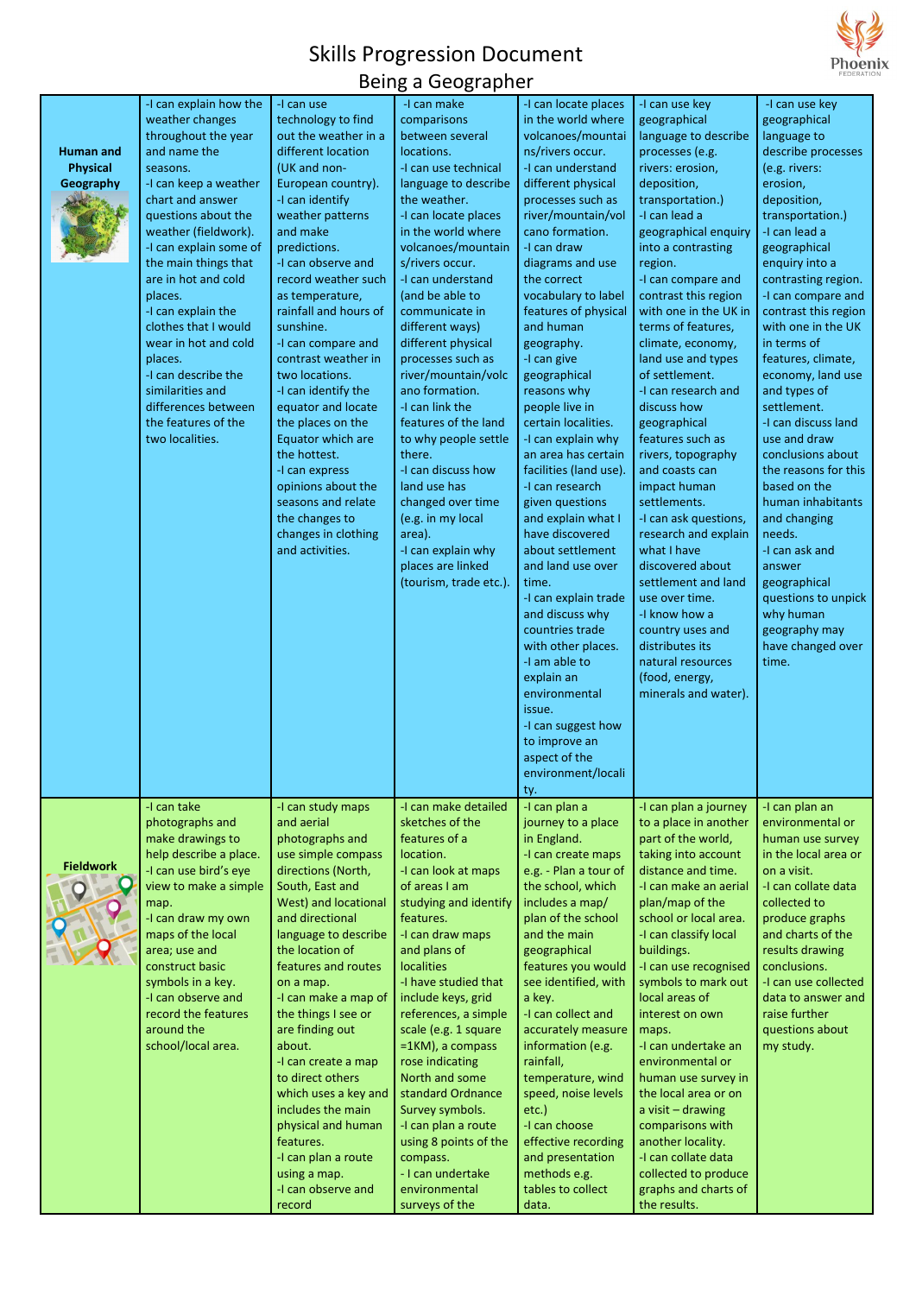# Skills Progression Document



#### Being a Geographer

| <b>Human and</b><br><b>Physical</b><br>Geography | I can explain how the<br>weather changes<br>throughout the year<br>and name the<br>seasons.<br>-I can keep a weather<br>chart and answer<br>questions about the<br>weather (fieldwork).<br>-I can explain some of<br>the main things that<br>are in hot and cold<br>places.<br>-I can explain the<br>clothes that I would<br>wear in hot and cold<br>places.<br>-I can describe the<br>similarities and<br>differences between<br>the features of the<br>two localities. | -I can use<br>technology to find<br>out the weather in a<br>different location<br>(UK and non-<br>European country).<br>-I can identify<br>weather patterns<br>and make<br>predictions.<br>-I can observe and<br>record weather such<br>as temperature,<br>rainfall and hours of<br>sunshine.<br>-I can compare and<br>contrast weather in<br>two locations.<br>-I can identify the<br>equator and locate<br>the places on the<br>Equator which are<br>the hottest.<br>-I can express<br>opinions about the<br>seasons and relate<br>the changes to<br>changes in clothing<br>and activities. | -I can make<br>comparisons<br>between several<br>locations.<br>-I can use technical<br>language to describe<br>the weather.<br>-I can locate places<br>in the world where<br>volcanoes/mountain<br>s/rivers occur.<br>-I can understand<br>(and be able to<br>communicate in<br>different ways)<br>different physical<br>processes such as<br>river/mountain/volc<br>ano formation.<br>-I can link the<br>features of the land<br>to why people settle<br>there.<br>-I can discuss how<br>land use has<br>changed over time<br>(e.g. in my local<br>area).<br>-I can explain why<br>places are linked<br>(tourism, trade etc.). | -I can locate places<br>in the world where<br>volcanoes/mountai<br>ns/rivers occur.<br>-I can understand<br>different physical<br>processes such as<br>river/mountain/vol<br>cano formation.<br>-I can draw<br>diagrams and use<br>the correct<br>vocabulary to label<br>features of physical<br>and human<br>geography.<br>-I can give<br>geographical<br>reasons why<br>people live in<br>certain localities.<br>-I can explain why<br>an area has certain<br>facilities (land use).<br>-I can research<br>given questions<br>and explain what I<br>have discovered<br>about settlement<br>and land use over<br>time.<br>-I can explain trade<br>and discuss why<br>countries trade<br>with other places.<br>-I am able to<br>explain an<br>environmental<br>issue.<br>-I can suggest how<br>to improve an<br>aspect of the<br>environment/locali | -I can use key<br>geographical<br>language to describe<br>processes (e.g.<br>rivers: erosion,<br>deposition,<br>transportation.)<br>-I can lead a<br>geographical enquiry<br>into a contrasting<br>region.<br>-I can compare and<br>contrast this region<br>with one in the UK in<br>terms of features,<br>climate, economy,<br>land use and types<br>of settlement.<br>-I can research and<br>discuss how<br>geographical<br>features such as<br>rivers, topography<br>and coasts can<br>impact human<br>settlements.<br>-I can ask questions,<br>research and explain<br>what I have<br>discovered about<br>settlement and land<br>use over time.<br>-I know how a<br>country uses and<br>distributes its<br>natural resources<br>(food, energy,<br>minerals and water). | -I can use key<br>geographical<br>language to<br>describe processes<br>(e.g. rivers:<br>erosion,<br>deposition,<br>transportation.)<br>-I can lead a<br>geographical<br>enquiry into a<br>contrasting region.<br>-I can compare and<br>contrast this region<br>with one in the UK<br>in terms of<br>features, climate,<br>economy, land use<br>and types of<br>settlement.<br>-I can discuss land<br>use and draw<br>conclusions about<br>the reasons for this<br>based on the<br>human inhabitants<br>and changing<br>needs.<br>-I can ask and<br>answer<br>geographical<br>questions to unpick<br>why human<br>geography may<br>have changed over<br>time. |
|--------------------------------------------------|--------------------------------------------------------------------------------------------------------------------------------------------------------------------------------------------------------------------------------------------------------------------------------------------------------------------------------------------------------------------------------------------------------------------------------------------------------------------------|-----------------------------------------------------------------------------------------------------------------------------------------------------------------------------------------------------------------------------------------------------------------------------------------------------------------------------------------------------------------------------------------------------------------------------------------------------------------------------------------------------------------------------------------------------------------------------------------------|---------------------------------------------------------------------------------------------------------------------------------------------------------------------------------------------------------------------------------------------------------------------------------------------------------------------------------------------------------------------------------------------------------------------------------------------------------------------------------------------------------------------------------------------------------------------------------------------------------------------------------|-----------------------------------------------------------------------------------------------------------------------------------------------------------------------------------------------------------------------------------------------------------------------------------------------------------------------------------------------------------------------------------------------------------------------------------------------------------------------------------------------------------------------------------------------------------------------------------------------------------------------------------------------------------------------------------------------------------------------------------------------------------------------------------------------------------------------------------------------------|----------------------------------------------------------------------------------------------------------------------------------------------------------------------------------------------------------------------------------------------------------------------------------------------------------------------------------------------------------------------------------------------------------------------------------------------------------------------------------------------------------------------------------------------------------------------------------------------------------------------------------------------------------------------------------------------------------------------------------------------------------------------------|--------------------------------------------------------------------------------------------------------------------------------------------------------------------------------------------------------------------------------------------------------------------------------------------------------------------------------------------------------------------------------------------------------------------------------------------------------------------------------------------------------------------------------------------------------------------------------------------------------------------------------------------------------------|
| <b>Fieldwork</b>                                 | -I can take<br>photographs and<br>make drawings to<br>help describe a place.<br>-I can use bird's eye<br>view to make a simple<br>map.<br>-I can draw my own<br>maps of the local<br>area; use and<br>construct basic<br>symbols in a key.<br>-I can observe and<br>record the features<br>around the<br>school/local area.                                                                                                                                              | -I can study maps<br>and aerial<br>photographs and<br>use simple compass<br>directions (North,<br>South, East and<br>West) and locational<br>and directional<br>language to describe<br>the location of<br>features and routes<br>on a map.<br>-I can make a map of<br>the things I see or<br>are finding out<br>about.<br>-I can create a map<br>to direct others<br>which uses a key and<br>includes the main<br>physical and human<br>features.<br>-I can plan a route<br>using a map.<br>-I can observe and<br>record                                                                     | -I can make detailed<br>sketches of the<br>features of a<br>location.<br>-I can look at maps<br>of areas I am<br>studying and identify<br>features.<br>-I can draw maps<br>and plans of<br><b>localities</b><br>-I have studied that<br>include keys, grid<br>references, a simple<br>scale (e.g. 1 square<br>=1KM), a compass<br>rose indicating<br>North and some<br>standard Ordnance<br>Survey symbols.<br>-I can plan a route<br>using 8 points of the<br>compass.<br>- I can undertake<br>environmental<br>surveys of the                                                                                                 | ty.<br>-I can plan a<br>journey to a place<br>in England.<br>-I can create maps<br>e.g. - Plan a tour of<br>the school, which<br>includes a map/<br>plan of the school<br>and the main<br>geographical<br>features you would<br>see identified, with<br>a key.<br>-I can collect and<br>accurately measure<br>information (e.g.<br>rainfall,<br>temperature, wind<br>speed, noise levels<br>$etc.$ )<br>-I can choose<br>effective recording<br>and presentation<br>methods e.g.<br>tables to collect<br>data.                                                                                                                                                                                                                                                                                                                                      | -I can plan a journey<br>to a place in another<br>part of the world,<br>taking into account<br>distance and time.<br>-I can make an aerial<br>plan/map of the<br>school or local area.<br>-I can classify local<br>buildings.<br>-I can use recognised<br>symbols to mark out<br>local areas of<br>interest on own<br>maps.<br>-I can undertake an<br>environmental or<br>human use survey in<br>the local area or on<br>a visit $-$ drawing<br>comparisons with<br>another locality.<br>-I can collate data<br>collected to produce<br>graphs and charts of<br>the results.                                                                                                                                                                                               | -I can plan an<br>environmental or<br>human use survey<br>in the local area or<br>on a visit.<br>-I can collate data<br>collected to<br>produce graphs<br>and charts of the<br>results drawing<br>conclusions.<br>-I can use collected<br>data to answer and<br>raise further<br>questions about<br>my study.                                                                                                                                                                                                                                                                                                                                                |